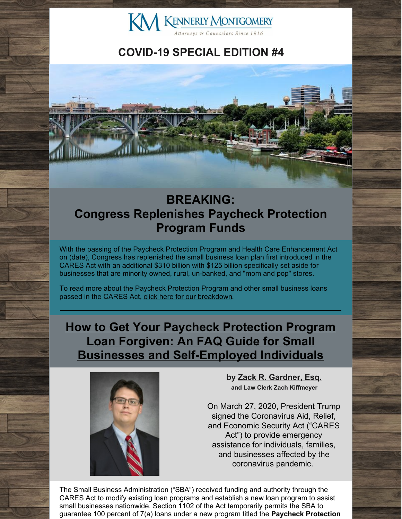

# **COVID-19 SPECIAL EDITION #4**



# **BREAKING: Congress Replenishes Paycheck Protection Program Funds**

With the passing of the Paycheck Protection Program and Health Care Enhancement Act on (date), Congress has replenished the small business loan plan first introduced in the CARES Act with an additional \$310 billion with \$125 billion specifically set aside for businesses that are minority owned, rural, un-banked, and "mom and pop" stores.

To read more about the Paycheck Protection Program and other small business loans passed in the CARES Act, click here for our [breakdown](http://www.kmfpc.com/Articles/cares_act_small_business_loans.aspx).

**How to Get Your Paycheck Protection Program Loan Forgiven: An FAQ Guide for Small Businesses and [Self-Employed](http://www.kmfpc.com/Articles/how_to_get_your_paycheck_protection_program_loan_forgiven_an_faq_guide_for_small_businesses_and_self-employed_individuals.aspx) Individuals**



**by Zack R. [Gardner,](http://www.kmfpc.com/attorneys/zack_r_gardner.aspx) Esq. and Law Clerk Zach Kiffmeyer**

On March 27, 2020, President Trump signed the Coronavirus Aid, Relief, and Economic Security Act ("CARES Act") to provide emergency assistance for individuals, families, and businesses affected by the coronavirus pandemic.

The Small Business Administration ("SBA") received funding and authority through the CARES Act to modify existing loan programs and establish a new loan program to assist small businesses nationwide. Section 1102 of the Act temporarily permits the SBA to guarantee 100 percent of 7(a) loans under a new program titled the **Paycheck Protection**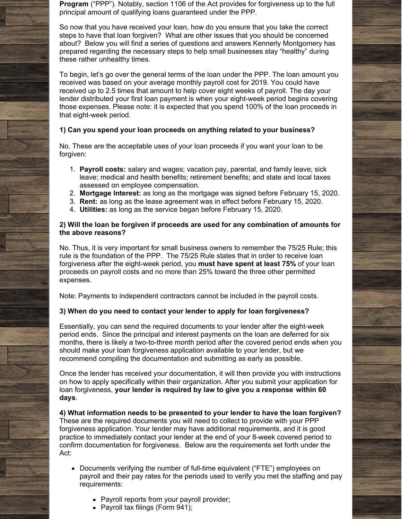**Program** ("PPP"). Notably, section 1106 of the Act provides for forgiveness up to the full principal amount of qualifying loans guaranteed under the PPP.

So now that you have received your loan, how do you ensure that you take the correct steps to have that loan forgiven? What are other issues that you should be concerned about? Below you will find a series of questions and answers Kennerly Montgomery has prepared regarding the necessary steps to help small businesses stay "healthy" during these rather unhealthy times.

To begin, let's go over the general terms of the loan under the PPP. The loan amount you received was based on your average monthly payroll cost for 2019. You could have received up to 2.5 times that amount to help cover eight weeks of payroll. The day your lender distributed your first loan payment is when your eight-week period begins covering those expenses. Please note: it is expected that you spend 100% of the loan proceeds in that eight-week period.

### **1) Can you spend your loan proceeds on anything related to your business?**

No. These are the acceptable uses of your loan proceeds if you want your loan to be forgiven:

- 1. **Payroll costs:** salary and wages; vacation pay, parental, and family leave; sick leave; medical and health benefits; retirement benefits; and state and local taxes assessed on employee compensation.
- 2. **Mortgage Interest:** as long as the mortgage was signed before February 15, 2020.
- 3. **Rent:** as long as the lease agreement was in effect before February 15, 2020.
- 4. **Utilities:** as long as the service began before February 15, 2020.

### **2) Will the loan be forgiven if proceeds are used for any combination of amounts for the above reasons?**

No. Thus, it is very important for small business owners to remember the 75/25 Rule; this rule is the foundation of the PPP. The 75/25 Rule states that in order to receive loan forgiveness after the eight-week period, you **must have spent at least 75%** of your loan proceeds on payroll costs and no more than 25% toward the three other permitted expenses.

Note: Payments to independent contractors cannot be included in the payroll costs.

### **3) When do you need to contact your lender to apply for loan forgiveness?**

Essentially, you can send the required documents to your lender after the eight-week period ends. Since the principal and interest payments on the loan are deferred for six months, there is likely a two-to-three month period after the covered period ends when you should make your loan forgiveness application available to your lender, but we recommend compiling the documentation and submitting as early as possible.

Once the lender has received your documentation, it will then provide you with instructions on how to apply specifically within their organization. After you submit your application for loan forgiveness, **your lender is required by law to give you a response within 60 days**.

**4) What information needs to be presented to your lender to have the loan forgiven?** These are the required documents you will need to collect to provide with your PPP forgiveness application. Your lender may have additional requirements, and it is good practice to immediately contact your lender at the end of your 8-week covered period to confirm documentation for forgiveness. Below are the requirements set forth under the Act:

- Documents verifying the number of full-time equivalent ("FTE") employees on payroll and their pay rates for the periods used to verify you met the staffing and pay requirements:
	- Payroll reports from your payroll provider;
	- Payroll tax filings (Form 941);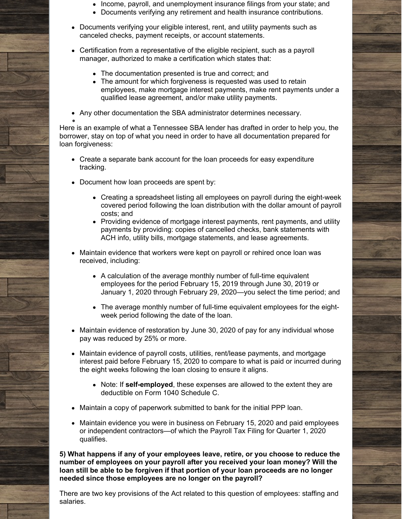- Income, payroll, and unemployment insurance filings from your state; and
- Documents verifying any retirement and health insurance contributions.
- Documents verifying your eligible interest, rent, and utility payments such as canceled checks, payment receipts, or account statements.
- Certification from a representative of the eligible recipient, such as a payroll manager, authorized to make a certification which states that:
	- The documentation presented is true and correct; and
	- The amount for which forgiveness is requested was used to retain employees, make mortgage interest payments, make rent payments under a qualified lease agreement, and/or make utility payments.
- Any other documentation the SBA administrator determines necessary.

Here is an example of what a Tennessee SBA lender has drafted in order to help you, the borrower, stay on top of what you need in order to have all documentation prepared for loan forgiveness:

- Create a separate bank account for the loan proceeds for easy expenditure tracking.
- Document how loan proceeds are spent by:
	- Creating a spreadsheet listing all employees on payroll during the eight-week covered period following the loan distribution with the dollar amount of payroll costs; and
	- Providing evidence of mortgage interest payments, rent payments, and utility payments by providing: copies of cancelled checks, bank statements with ACH info, utility bills, mortgage statements, and lease agreements.
- Maintain evidence that workers were kept on payroll or rehired once loan was received, including:
	- A calculation of the average monthly number of full-time equivalent employees for the period February 15, 2019 through June 30, 2019 or January 1, 2020 through February 29, 2020—you select the time period; and
	- The average monthly number of full-time equivalent employees for the eightweek period following the date of the loan.
- Maintain evidence of restoration by June 30, 2020 of pay for any individual whose pay was reduced by 25% or more.
- Maintain evidence of payroll costs, utilities, rent/lease payments, and mortgage interest paid before February 15, 2020 to compare to what is paid or incurred during the eight weeks following the loan closing to ensure it aligns.
	- Note: If **self-employed**, these expenses are allowed to the extent they are deductible on Form 1040 Schedule C.
- Maintain a copy of paperwork submitted to bank for the initial PPP loan.
- Maintain evidence you were in business on February 15, 2020 and paid employees or independent contractors—of which the Payroll Tax Filing for Quarter 1, 2020 qualifies.

**5) What happens if any of your employees leave, retire, or you choose to reduce the number of employees on your payroll after you received your loan money? Will the loan still be able to be forgiven if that portion of your loan proceeds are no longer needed since those employees are no longer on the payroll?**

There are two key provisions of the Act related to this question of employees: staffing and salaries.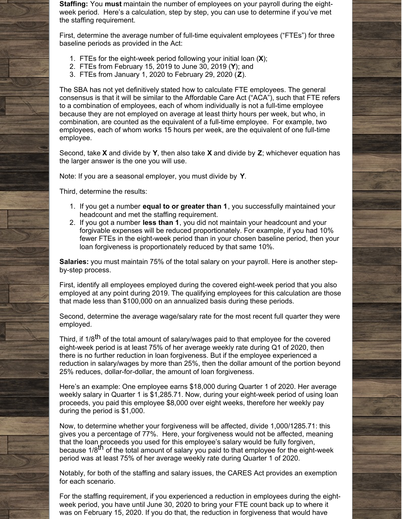**Staffing:** You **must** maintain the number of employees on your payroll during the eightweek period. Here's a calculation, step by step, you can use to determine if you've met the staffing requirement.

First, determine the average number of full-time equivalent employees ("FTEs") for three baseline periods as provided in the Act:

- 1. FTEs for the eight-week period following your initial loan (**X**);
- 2. FTEs from February 15, 2019 to June 30, 2019 (**Y**); and
- 3. FTEs from January 1, 2020 to February 29, 2020 (**Z**).

The SBA has not yet definitively stated how to calculate FTE employees. The general consensus is that it will be similar to the Affordable Care Act ("ACA"), such that FTE refers to a combination of employees, each of whom individually is not a full-time employee because they are not employed on average at least thirty hours per week, but who, in combination, are counted as the equivalent of a full-time employee. For example, two employees, each of whom works 15 hours per week, are the equivalent of one full-time employee.

Second, take **X** and divide by **Y**, then also take **X** and divide by **Z**; whichever equation has the larger answer is the one you will use.

Note: If you are a seasonal employer, you must divide by **Y**.

Third, determine the results:

- 1. If you get a number **equal to or greater than 1**, you successfully maintained your headcount and met the staffing requirement.
- 2. If you got a number **less than 1**, you did not maintain your headcount and your forgivable expenses will be reduced proportionately. For example, if you had 10% fewer FTEs in the eight-week period than in your chosen baseline period, then your loan forgiveness is proportionately reduced by that same 10%.

**Salaries:** you must maintain 75% of the total salary on your payroll. Here is another stepby-step process.

First, identify all employees employed during the covered eight-week period that you also employed at any point during 2019. The qualifying employees for this calculation are those that made less than \$100,000 on an annualized basis during these periods.

Second, determine the average wage/salary rate for the most recent full quarter they were employed.

Third, if 1/8<sup>th</sup> of the total amount of salary/wages paid to that employee for the covered eight-week period is at least 75% of her average weekly rate during Q1 of 2020, then there is no further reduction in loan forgiveness. But if the employee experienced a reduction in salary/wages by more than 25%, then the dollar amount of the portion beyond 25% reduces, dollar-for-dollar, the amount of loan forgiveness.

Here's an example: One employee earns \$18,000 during Quarter 1 of 2020. Her average weekly salary in Quarter 1 is \$1,285.71. Now, during your eight-week period of using loan proceeds, you paid this employee \$8,000 over eight weeks, therefore her weekly pay during the period is \$1,000.

Now, to determine whether your forgiveness will be affected, divide 1,000/1285.71: this gives you a percentage of 77%. Here, your forgiveness would not be affected, meaning that the loan proceeds you used for this employee's salary would be fully forgiven, because 1/8<sup>th</sup> of the total amount of salary you paid to that employee for the eight-week period was at least 75% of her average weekly rate during Quarter 1 of 2020.

Notably, for both of the staffing and salary issues, the CARES Act provides an exemption for each scenario.

For the staffing requirement, if you experienced a reduction in employees during the eightweek period, you have until June 30, 2020 to bring your FTE count back up to where it was on February 15, 2020. If you do that, the reduction in forgiveness that would have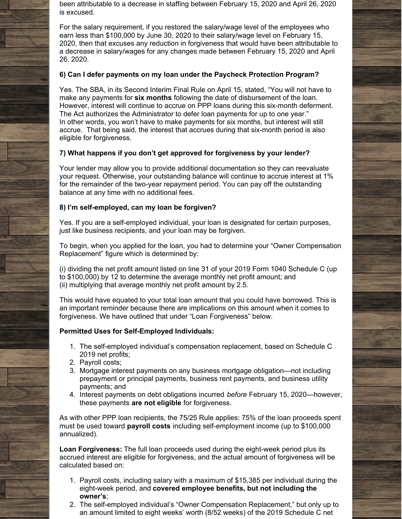been attributable to a decrease in staffing between February 15, 2020 and April 26, 2020 is excused.

For the salary requirement, if you restored the salary/wage level of the employees who earn less than \$100,000 by June 30, 2020 to their salary/wage level on February 15, 2020, then that excuses any reduction in forgiveness that would have been attributable to a decrease in salary/wages for any changes made between February 15, 2020 and April 26, 2020.

### **6) Can I defer payments on my loan under the Paycheck Protection Program?**

Yes. The SBA, in its Second Interim Final Rule on April 15, stated, "You will not have to make any payments for **six months** following the date of disbursement of the loan. However, interest will continue to accrue on PPP loans during this six-month deferment. The Act authorizes the Administrator to defer loan payments for up to one year." In other words, you won't have to make payments for six months, but interest will still accrue. That being said, the interest that accrues during that six-month period is also eligible for forgiveness.

### **7) What happens if you don't get approved for forgiveness by your lender?**

Your lender may allow you to provide additional documentation so they can reevaluate your request. Otherwise, your outstanding balance will continue to accrue interest at 1% for the remainder of the two-year repayment period. You can pay off the outstanding balance at any time with no additional fees.

### **8) I'm self-employed, can my loan be forgiven?**

Yes. If you are a self-employed individual, your loan is designated for certain purposes, just like business recipients, and your loan may be forgiven.

To begin, when you applied for the loan, you had to determine your "Owner Compensation Replacement" figure which is determined by:

(i) dividing the net profit amount listed on line 31 of your 2019 Form 1040 Schedule C (up to \$100,000) by 12 to determine the average monthly net profit amount; and (ii) multiplying that average monthly net profit amount by 2.5.

This would have equated to your total loan amount that you could have borrowed. This is an important reminder because there are implications on this amount when it comes to forgiveness. We have outlined that under "Loan Forgiveness" below.

### **Permitted Uses for Self-Employed Individuals:**

- 1. The self-employed individual's compensation replacement, based on Schedule C 2019 net profits;
- 2. Payroll costs;
- 3. Mortgage interest payments on any business mortgage obligation—not including prepayment or principal payments, business rent payments, and business utility payments; and
- 4. Interest payments on debt obligations incurred *before* February 15, 2020—however, these payments **are not eligible** for forgiveness.

As with other PPP loan recipients, the 75/25 Rule applies: 75% of the loan proceeds spent must be used toward **payroll costs** including self-employment income (up to \$100,000 annualized).

**Loan Forgiveness:** The full loan proceeds used during the eight-week period plus its accrued interest are eligible for forgiveness, and the actual amount of forgiveness will be calculated based on:

- 1. Payroll costs, including salary with a maximum of \$15,385 per individual during the eight-week period, and **covered employee benefits, but not including the owner's**;
- 2. The self-employed individual's "Owner Compensation Replacement," but only up to an amount limited to eight weeks' worth (8/52 weeks) of the 2019 Schedule C net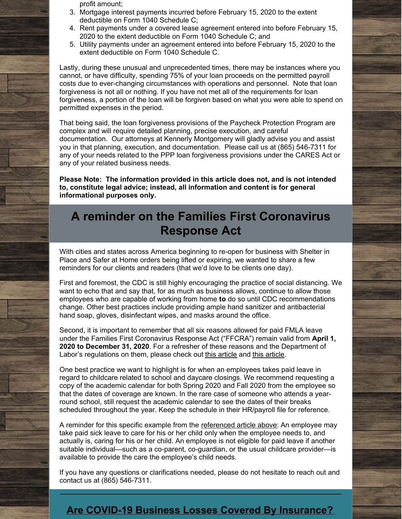profit amount;

- 3. Mortgage interest payments incurred before February 15, 2020 to the extent deductible on Form 1040 Schedule C;
- 4. Rent payments under a covered lease agreement entered into before February 15, 2020 to the extent deductible on Form 1040 Schedule C; and
- 5. Utility payments under an agreement entered into before February 15, 2020 to the extent deductible on Form 1040 Schedule C.

Lastly, during these unusual and unprecedented times, there may be instances where you cannot, or have difficulty, spending 75% of your loan proceeds on the permitted payroll costs due to ever-changing circumstances with operations and personnel. Note that loan forgiveness is not all or nothing. If you have not met all of the requirements for loan forgiveness, a portion of the loan will be forgiven based on what you were able to spend on permitted expenses in the period.

That being said, the loan forgiveness provisions of the Paycheck Protection Program are complex and will require detailed planning, precise execution, and careful documentation. Our attorneys at Kennerly Montgomery will gladly advise you and assist you in that planning, execution, and documentation. Please call us at (865) 546-7311 for any of your needs related to the PPP loan forgiveness provisions under the CARES Act or any of your related business needs.

**Please Note: The information provided in this article does not, and is not intended to, constitute legal advice; instead, all information and content is for general informational purposes only.**

# **A reminder on the Families First Coronavirus Response Act**

With cities and states across America beginning to re-open for business with Shelter in Place and Safer at Home orders being lifted or expiring, we wanted to share a few reminders for our clients and readers (that we'd love to be clients one day).

First and foremost, the CDC is still highly encouraging the practice of social distancing. We want to echo that and say that, for as much as business allows, continue to allow those employees who are capable of working from home **to** do so until CDC recommendations change. Other best practices include providing ample hand sanitizer and antibacterial hand soap, gloves, disinfectant wipes, and masks around the office.

Second, it is important to remember that all six reasons allowed for paid FMLA leave under the Families First Coronavirus Response Act ("FFCRA") remain valid from **April 1, 2020 to December 31, 2020**. For a refresher of these reasons and the Department of Labor's regulations on them, please check out this [article](http://www.kmfpc.com/Articles/weve_got_your_six_reasons_for_paid_sick_leave_under_the_ffcra_covered.aspx) and this [article](http://www.kmfpc.com/Articles/dol_provides_limited_guidance_on_new_families_first_coronavirus_response_act.aspx).

One best practice we want to highlight is for when an employees takes paid leave in regard to childcare related to school and daycare closings. We recommend requesting a copy of the academic calendar for both Spring 2020 and Fall 2020 from the employee so that the dates of coverage are known. In the rare case of someone who attends a yearround school, still request the academic calendar to see the dates of their breaks scheduled throughout the year. Keep the schedule in their HR/payroll file for reference.

A reminder for this specific example from the [referenced](http://www.kmfpc.com/Articles/weve_got_your_six_reasons_for_paid_sick_leave_under_the_ffcra_covered.aspx) article above: An employee may take paid sick leave to care for his or her child only when the employee needs to, and actually is, caring for his or her child. An employee is not eligible for paid leave if another suitable individual—such as a co-parent, co-guardian, or the usual childcare provider—is available to provide the care the employee's child needs.

If you have any questions or clarifications needed, please do not hesitate to reach out and contact us at (865) 546-7311.

### **Are COVID-19 Business Losses Covered By [Insurance?](http://www.kmfpc.com/Articles/are_covid-19_business_losses_covered_by_insurance.aspx)**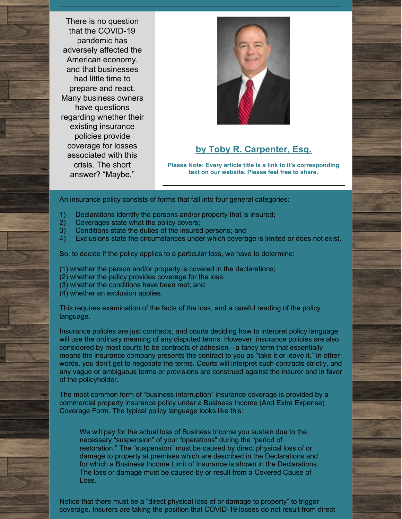There is no question that the COVID-19 pandemic has adversely affected the American economy, and that businesses had little time to prepare and react. Many business owners have questions regarding whether their existing insurance policies provide coverage for losses associated with this crisis. The short answer? "Maybe."



### **by Toby R. [Carpenter,](http://www.kmfpc.com/attorneys/toby_r_carpenter.aspx) Esq.**

**Please Note: Every article title is a link to it's corresponding text on our website. Please feel free to share.**

An insurance policy consists of forms that fall into four general categories:

- 1) Declarations identify the persons and/or property that is insured;
- 2) Coverages state what the policy covers;
- 3) Conditions state the duties of the insured persons; and
- 4) Exclusions state the circumstances under which coverage is limited or does not exist.

So, to decide if the policy applies to a particular loss, we have to determine:

- (1) whether the person and/or property is covered in the declarations;
- (2) whether the policy provides coverage for the loss;
- (3) whether the conditions have been met; and
- (4) whether an exclusion applies.

This requires examination of the facts of the loss, and a careful reading of the policy language.

Insurance policies are just contracts, and courts deciding how to interpret policy language will use the ordinary meaning of any disputed terms. However, insurance policies are also considered by most courts to be contracts of adhesion—a fancy term that essentially means the insurance company presents the contract to you as "take it or leave it." In other words, you don't get to negotiate the terms. Courts will interpret such contracts strictly, and any vague or ambiguous terms or provisions are construed against the insurer and in favor of the policyholder.

The most common form of "business interruption" insurance coverage is provided by a commercial property insurance policy under a Business Income (And Extra Expense) Coverage Form. The typical policy language looks like this:

We will pay for the actual loss of Business Income you sustain due to the necessary "suspension" of your "operations" during the "period of restoration." The "suspension" must be caused by direct physical loss of or damage to property at premises which are described in the Declarations and for which a Business Income Limit of Insurance is shown in the Declarations. The loss or damage must be caused by or result from a Covered Cause of Loss.

Notice that there must be a "direct physical loss of or damage to property" to trigger coverage. Insurers are taking the position that COVID-19 losses do not result from direct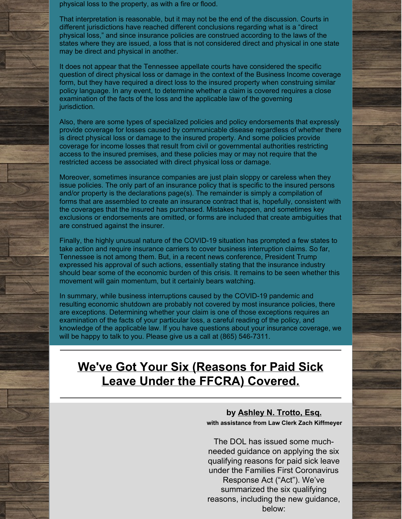physical loss to the property, as with a fire or flood.

That interpretation is reasonable, but it may not be the end of the discussion. Courts in different jurisdictions have reached different conclusions regarding what is a "direct physical loss," and since insurance policies are construed according to the laws of the states where they are issued, a loss that is not considered direct and physical in one state may be direct and physical in another.

It does not appear that the Tennessee appellate courts have considered the specific question of direct physical loss or damage in the context of the Business Income coverage form, but they have required a direct loss to the insured property when construing similar policy language. In any event, to determine whether a claim is covered requires a close examination of the facts of the loss and the applicable law of the governing jurisdiction.

Also, there are some types of specialized policies and policy endorsements that expressly provide coverage for losses caused by communicable disease regardless of whether there is direct physical loss or damage to the insured property. And some policies provide coverage for income losses that result from civil or governmental authorities restricting access to the insured premises, and these policies may or may not require that the restricted access be associated with direct physical loss or damage.

Moreover, sometimes insurance companies are just plain sloppy or careless when they issue policies. The only part of an insurance policy that is specific to the insured persons and/or property is the declarations page(s). The remainder is simply a compilation of forms that are assembled to create an insurance contract that is, hopefully, consistent with the coverages that the insured has purchased. Mistakes happen, and sometimes key exclusions or endorsements are omitted, or forms are included that create ambiguities that are construed against the insurer.

Finally, the highly unusual nature of the COVID-19 situation has prompted a few states to take action and require insurance carriers to cover business interruption claims. So far, Tennessee is not among them. But, in a recent news conference, President Trump expressed his approval of such actions, essentially stating that the insurance industry should bear some of the economic burden of this crisis. It remains to be seen whether this movement will gain momentum, but it certainly bears watching.

In summary, while business interruptions caused by the COVID-19 pandemic and resulting economic shutdown are probably not covered by most insurance policies, there are exceptions. Determining whether your claim is one of those exceptions requires an examination of the facts of your particular loss, a careful reading of the policy, and knowledge of the applicable law. If you have questions about your insurance coverage, we will be happy to talk to you. Please give us a call at (865) 546-7311.

# **We've Got Your Six [\(Reasons](http://www.kmfpc.com/Articles/weve_got_your_six_reasons_for_paid_sick_leave_under_the_ffcra_covered.aspx) for Paid Sick Leave Under the FFCRA) Covered.**

### **by [Ashley](http://www.kmfpc.com/attorneys/ashley_n_trotto.aspx) N. Trotto, Esq. with assistance from Law Clerk Zach Kiffmeyer**

The DOL has issued some muchneeded guidance on applying the six qualifying reasons for paid sick leave under the Families First Coronavirus Response Act ("Act"). We've summarized the six qualifying reasons, including the new guidance, below: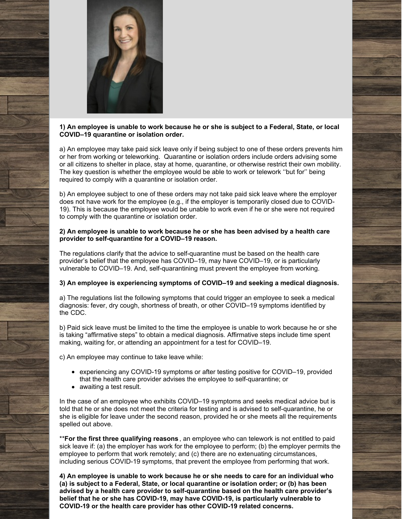

### **1) An employee is unable to work because he or she is subject to a Federal, State, or local COVID–19 quarantine or isolation order.**

a) An employee may take paid sick leave only if being subject to one of these orders prevents him or her from working or teleworking. Quarantine or isolation orders include orders advising some or all citizens to shelter in place, stay at home, quarantine, or otherwise restrict their own mobility. The key question is whether the employee would be able to work or telework ''but for'' being required to comply with a quarantine or isolation order.

b) An employee subject to one of these orders may not take paid sick leave where the employer does not have work for the employee (e.g., if the employer is temporarily closed due to COVID-19). This is because the employee would be unable to work even if he or she were not required to comply with the quarantine or isolation order.

### **2) An employee is unable to work because he or she has been advised by a health care provider to self-quarantine for a COVID–19 reason.**

The regulations clarify that the advice to self-quarantine must be based on the health care provider's belief that the employee has COVID–19, may have COVID–19, or is particularly vulnerable to COVID–19. And, self-quarantining must prevent the employee from working.

### **3) An employee is experiencing symptoms of COVID–19 and seeking a medical diagnosis.**

a) The regulations list the following symptoms that could trigger an employee to seek a medical diagnosis: fever, dry cough, shortness of breath, or other COVID–19 symptoms identified by the [CDC](https://www.cdc.gov/coronavirus/2019-ncov/symptoms-testing/symptoms.html).

b) Paid sick leave must be limited to the time the employee is unable to work because he or she is taking "affirmative steps" to obtain a medical diagnosis. Affirmative steps include time spent making, waiting for, or attending an appointment for a test for COVID–19.

c) An employee may continue to take leave while:

- experiencing any COVID-19 symptoms or after testing positive for COVID–19, provided that the health care provider advises the employee to self-quarantine; or
- awaiting a test result.

In the case of an employee who exhibits COVID–19 symptoms and seeks medical advice but is told that he or she does not meet the criteria for testing and is advised to self-quarantine, he or she is eligible for leave under the second reason, provided he or she meets all the requirements spelled out above.

\*\***For the first three qualifying reasons** , an employee who can telework is not entitled to paid sick leave if: (a) the employer has work for the employee to perform; (b) the employer permits the employee to perform that work remotely; and (c) there are no extenuating circumstances, including serious COVID-19 symptoms, that prevent the employee from performing that work.

**4) An employee is unable to work because he or she needs to care for an individual who (a) is subject to a Federal, State, or local quarantine or isolation order; or (b) has been advised by a health care provider to self-quarantine based on the health care provider's belief that he or she has COVID-19, may have COVID-19, is particularly vulnerable to COVID-19 or the health care provider has other COVID-19 related concerns.**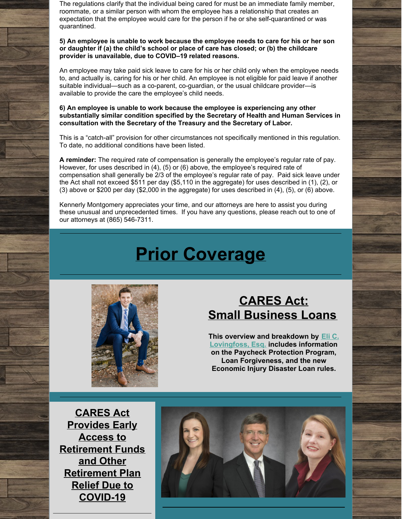The regulations clarify that the individual being cared for must be an immediate family member, roommate, or a similar person with whom the employee has a relationship that creates an expectation that the employee would care for the person if he or she self-quarantined or was quarantined.

#### **5) An employee is unable to work because the employee needs to care for his or her son or daughter if (a) the child's school or place of care has closed; or (b) the childcare provider is unavailable, due to COVID–19 related reasons.**

An employee may take paid sick leave to care for his or her child only when the employee needs to, and actually is, caring for his or her child. An employee is not eligible for paid leave if another suitable individual—such as a co-parent, co-guardian, or the usual childcare provider—is available to provide the care the employee's child needs.

### **6) An employee is unable to work because the employee is experiencing any other substantially similar condition specified by the Secretary of Health and Human Services in consultation with the Secretary of the Treasury and the Secretary of Labor.**

This is a "catch-all" provision for other circumstances not specifically mentioned in this regulation. To date, no additional conditions have been listed.

**A reminder:** The required rate of compensation is generally the employee's regular rate of pay. However, for uses described in (4), (5) or (6) above, the employee's required rate of compensation shall generally be 2/3 of the employee's regular rate of pay. Paid sick leave under the Act shall not exceed \$511 per day (\$5,110 in the aggregate) for uses described in (1), (2), or (3) above or \$200 per day (\$2,000 in the aggregate) for uses described in (4), (5), or (6) above.

Kennerly Montgomery appreciates your time, and our attorneys are here to assist you during these unusual and unprecedented times. If you have any questions, please reach out to one of our attorneys at (865) 546-7311.

# **Prior Coverage**



# **[CARES](http://www.kmfpc.com/Articles/cares_act_small_business_loans.aspx) Act: Small [Business](http://www.kmfpc.com/Articles/cares_act_small_business_loans.aspx) Loans**

**This overview and breakdown by Eli C. [Lovingfoss,](http://www.kmfpc.com/attorneys/elijah_c_lovingfoss.aspx) Esq. includes information on the Paycheck Protection Program, Loan Forgiveness, and the new Economic Injury Disaster Loan rules.**

**CARES Act Provides Early Access to Retirement Funds and Other [Retirement](http://www.kmfpc.com/Articles/cares_act_provides_early_access_to_retirement_funds_and_other_retirement_plan_relief.aspx) Plan Relief Due to COVID-19**